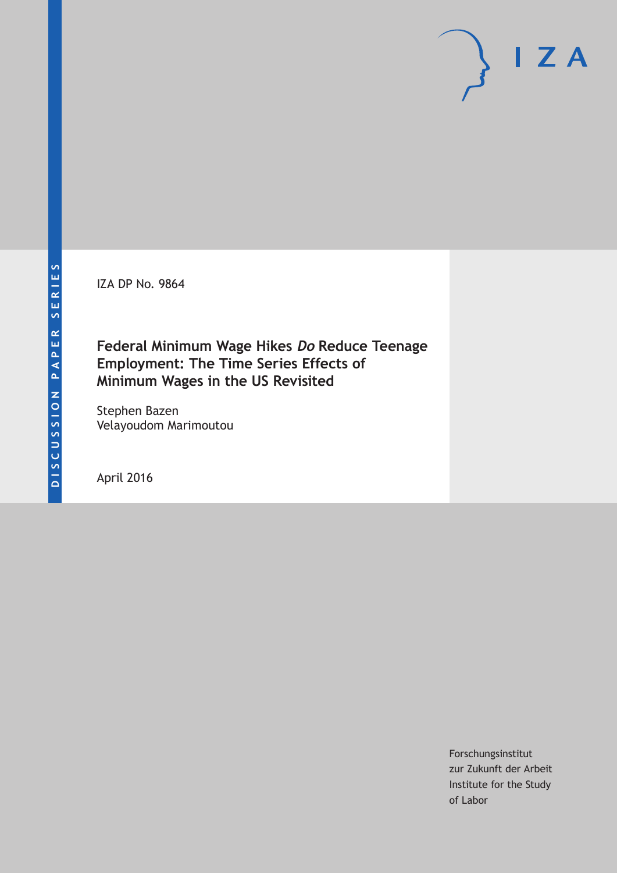IZA DP No. 9864

## **Federal Minimum Wage Hikes Do Reduce Teenage Employment: The Time Series Effects of Minimum Wages in the US Revisited**

Stephen Bazen Velayoudom Marimoutou

April 2016

Forschungsinstitut zur Zukunft der Arbeit Institute for the Study of Labor

 $I Z A$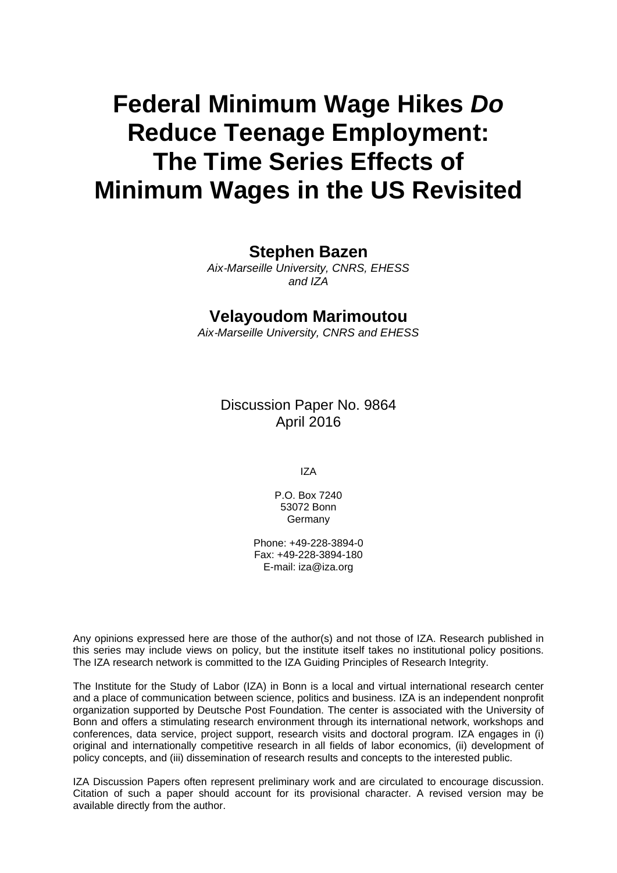# **Federal Minimum Wage Hikes** *Do* **Reduce Teenage Employment: The Time Series Effects of Minimum Wages in the US Revisited**

### **Stephen Bazen**

*Aix*‐*Marseille University, CNRS, EHESS and IZA* 

### **Velayoudom Marimoutou**

*Aix*‐*Marseille University, CNRS and EHESS* 

Discussion Paper No. 9864 April 2016

IZA

P.O. Box 7240 53072 Bonn **Germany** 

Phone: +49-228-3894-0 Fax: +49-228-3894-180 E-mail: iza@iza.org

Any opinions expressed here are those of the author(s) and not those of IZA. Research published in this series may include views on policy, but the institute itself takes no institutional policy positions. The IZA research network is committed to the IZA Guiding Principles of Research Integrity.

The Institute for the Study of Labor (IZA) in Bonn is a local and virtual international research center and a place of communication between science, politics and business. IZA is an independent nonprofit organization supported by Deutsche Post Foundation. The center is associated with the University of Bonn and offers a stimulating research environment through its international network, workshops and conferences, data service, project support, research visits and doctoral program. IZA engages in (i) original and internationally competitive research in all fields of labor economics, (ii) development of policy concepts, and (iii) dissemination of research results and concepts to the interested public.

IZA Discussion Papers often represent preliminary work and are circulated to encourage discussion. Citation of such a paper should account for its provisional character. A revised version may be available directly from the author.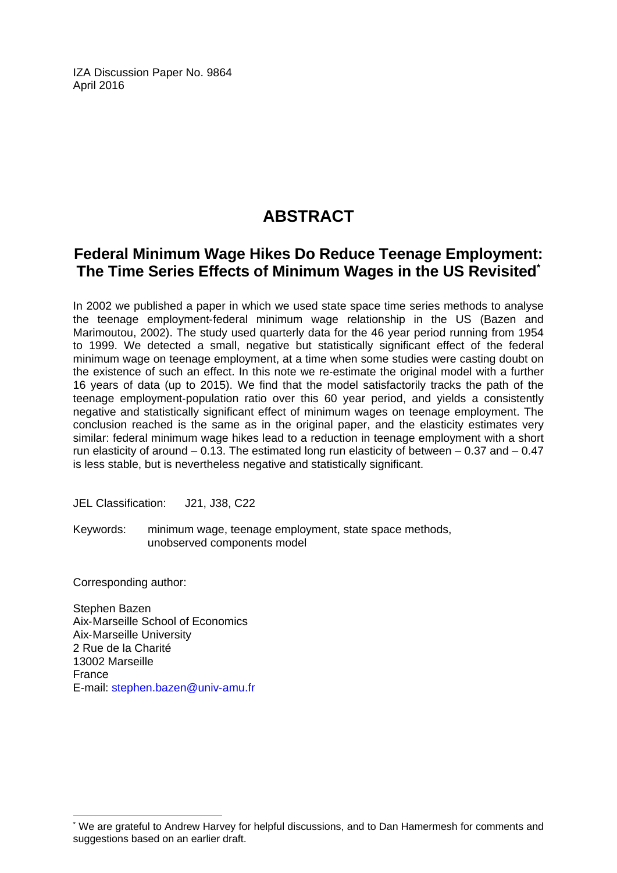IZA Discussion Paper No. 9864 April 2016

# **ABSTRACT**

### **Federal Minimum Wage Hikes Do Reduce Teenage Employment: The Time Series Effects of Minimum Wages in the US Revisited\***

In 2002 we published a paper in which we used state space time series methods to analyse the teenage employment‐federal minimum wage relationship in the US (Bazen and Marimoutou, 2002). The study used quarterly data for the 46 year period running from 1954 to 1999. We detected a small, negative but statistically significant effect of the federal minimum wage on teenage employment, at a time when some studies were casting doubt on the existence of such an effect. In this note we re‐estimate the original model with a further 16 years of data (up to 2015). We find that the model satisfactorily tracks the path of the teenage employment‐population ratio over this 60 year period, and yields a consistently negative and statistically significant effect of minimum wages on teenage employment. The conclusion reached is the same as in the original paper, and the elasticity estimates very similar: federal minimum wage hikes lead to a reduction in teenage employment with a short run elasticity of around  $-0.13$ . The estimated long run elasticity of between  $-0.37$  and  $-0.47$ is less stable, but is nevertheless negative and statistically significant.

JEL Classification: J21, J38, C22

Keywords: minimum wage, teenage employment, state space methods, unobserved components model

Corresponding author:

 $\overline{\phantom{a}}$ 

Stephen Bazen Aix‐Marseille School of Economics Aix‐Marseille University 2 Rue de la Charité 13002 Marseille France E-mail: stephen.bazen@univ‐amu.fr

<sup>\*</sup> We are grateful to Andrew Harvey for helpful discussions, and to Dan Hamermesh for comments and suggestions based on an earlier draft.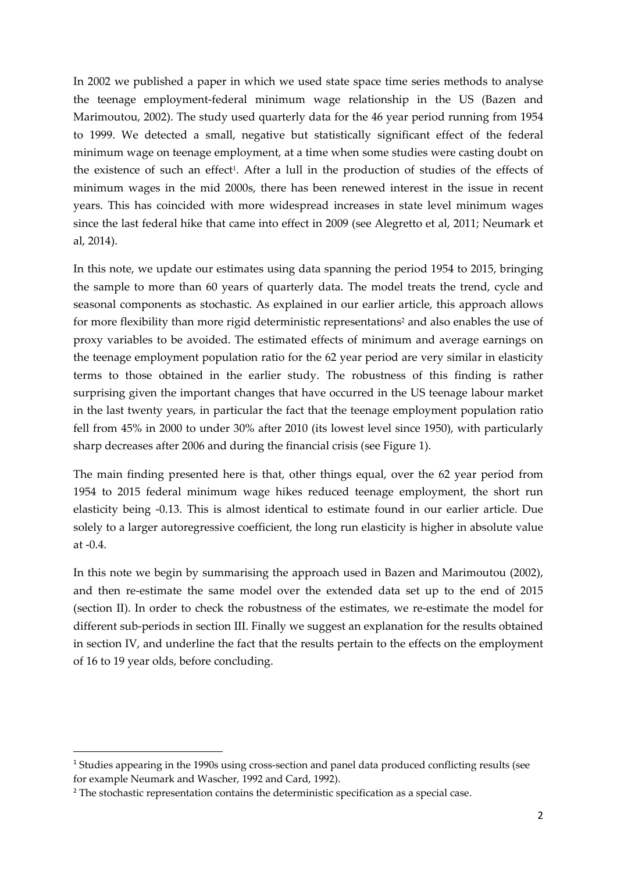In 2002 we published a paper in which we used state space time series methods to analyse the teenage employment‐federal minimum wage relationship in the US (Bazen and Marimoutou, 2002). The study used quarterly data for the 46 year period running from 1954 to 1999. We detected a small, negative but statistically significant effect of the federal minimum wage on teenage employment, at a time when some studies were casting doubt on the existence of such an effect<sup>1</sup>. After a lull in the production of studies of the effects of minimum wages in the mid 2000s, there has been renewed interest in the issue in recent years. This has coincided with more widespread increases in state level minimum wages since the last federal hike that came into effect in 2009 (see Alegretto et al, 2011; Neumark et al, 2014).

In this note, we update our estimates using data spanning the period 1954 to 2015, bringing the sample to more than 60 years of quarterly data. The model treats the trend, cycle and seasonal components as stochastic. As explained in our earlier article, this approach allows for more flexibility than more rigid deterministic representations<sup>2</sup> and also enables the use of proxy variables to be avoided. The estimated effects of minimum and average earnings on the teenage employment population ratio for the 62 year period are very similar in elasticity terms to those obtained in the earlier study. The robustness of this finding is rather surprising given the important changes that have occurred in the US teenage labour market in the last twenty years, in particular the fact that the teenage employment population ratio fell from 45% in 2000 to under 30% after 2010 (its lowest level since 1950), with particularly sharp decreases after 2006 and during the financial crisis (see Figure 1).

The main finding presented here is that, other things equal, over the 62 year period from 1954 to 2015 federal minimum wage hikes reduced teenage employment, the short run elasticity being ‐0.13. This is almost identical to estimate found in our earlier article. Due solely to a larger autoregressive coefficient, the long run elasticity is higher in absolute value at ‐0.4.

In this note we begin by summarising the approach used in Bazen and Marimoutou (2002), and then re‐estimate the same model over the extended data set up to the end of 2015 (section II). In order to check the robustness of the estimates, we re‐estimate the model for different sub‐periods in section III. Finally we suggest an explanation for the results obtained in section IV, and underline the fact that the results pertain to the effects on the employment of 16 to 19 year olds, before concluding.

<sup>1</sup> Studies appearing in the 1990s using cross‐section and panel data produced conflicting results (see for example Neumark and Wascher, 1992 and Card, 1992).

<sup>&</sup>lt;sup>2</sup> The stochastic representation contains the deterministic specification as a special case.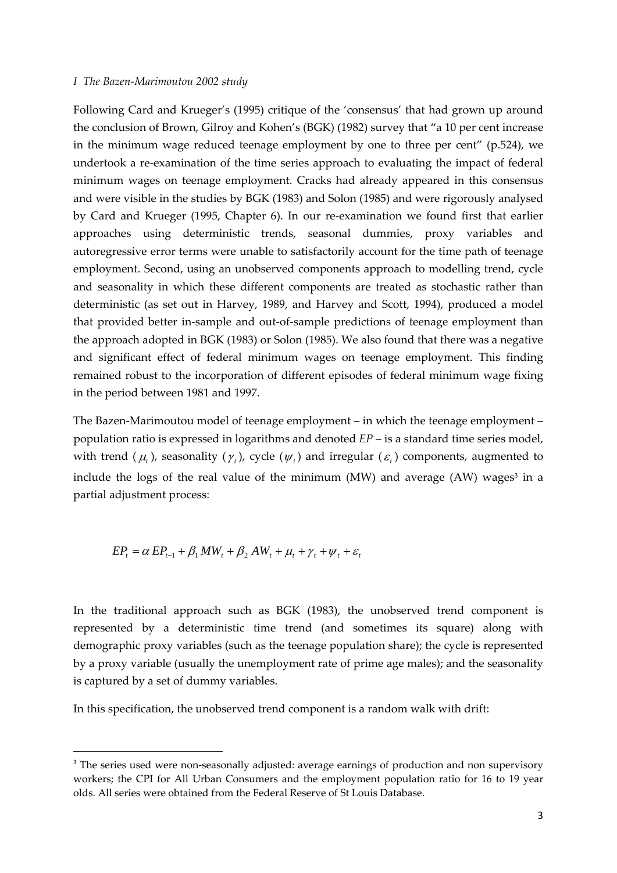#### *I The Bazen‐Marimoutou 2002 study*

Following Card and Krueger's (1995) critique of the 'consensus' that had grown up around the conclusion of Brown, Gilroy and Kohen's (BGK) (1982) survey that "a 10 per cent increase in the minimum wage reduced teenage employment by one to three per cent" (p.524), we undertook a re‐examination of the time series approach to evaluating the impact of federal minimum wages on teenage employment. Cracks had already appeared in this consensus and were visible in the studies by BGK (1983) and Solon (1985) and were rigorously analysed by Card and Krueger (1995, Chapter 6). In our re‐examination we found first that earlier approaches using deterministic trends, seasonal dummies, proxy variables and autoregressive error terms were unable to satisfactorily account for the time path of teenage employment. Second, using an unobserved components approach to modelling trend, cycle and seasonality in which these different components are treated as stochastic rather than deterministic (as set out in Harvey, 1989, and Harvey and Scott, 1994), produced a model that provided better in‐sample and out‐of‐sample predictions of teenage employment than the approach adopted in BGK (1983) or Solon (1985). We also found that there was a negative and significant effect of federal minimum wages on teenage employment. This finding remained robust to the incorporation of different episodes of federal minimum wage fixing in the period between 1981 and 1997.

The Bazen-Marimoutou model of teenage employment – in which the teenage employment – population ratio is expressed in logarithms and denoted *EP* – is a standard time series model, with trend  $(\mu_t)$ , seasonality  $(\gamma_t)$ , cycle  $(\psi_t)$  and irregular  $(\varepsilon_t)$  components, augmented to include the logs of the real value of the minimum (MW) and average (AW) wages<sup>3</sup> in a partial adjustment process:

$$
EP_t = \alpha EP_{t-1} + \beta_1 MW_t + \beta_2 AW_t + \mu_t + \gamma_t + \psi_t + \varepsilon_t
$$

In the traditional approach such as BGK (1983), the unobserved trend component is represented by a deterministic time trend (and sometimes its square) along with demographic proxy variables (such as the teenage population share); the cycle is represented by a proxy variable (usually the unemployment rate of prime age males); and the seasonality is captured by a set of dummy variables.

In this specification, the unobserved trend component is a random walk with drift:

<sup>&</sup>lt;sup>3</sup> The series used were non-seasonally adjusted: average earnings of production and non supervisory workers; the CPI for All Urban Consumers and the employment population ratio for 16 to 19 year olds. All series were obtained from the Federal Reserve of St Louis Database.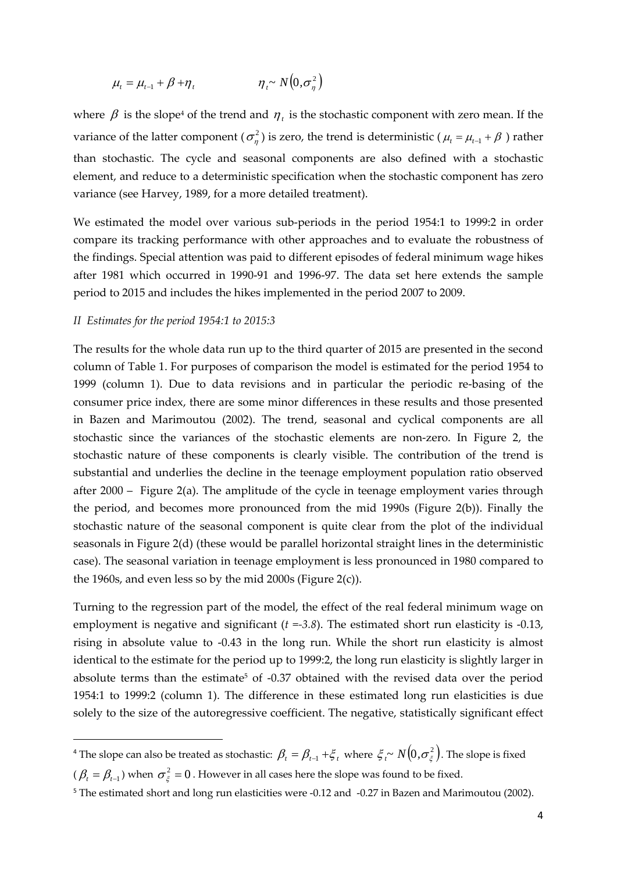$$
\mu_t = \mu_{t-1} + \beta + \eta_t \qquad \eta_t \sim N(0, \sigma_\eta^2)
$$

where  $\beta$  is the slope<sup>4</sup> of the trend and  $\eta_t$  is the stochastic component with zero mean. If the variance of the latter component ( $\sigma_n^2$ ) is zero, the trend is deterministic ( $\mu_t = \mu_{t-1} + \beta$ ) rather than stochastic. The cycle and seasonal components are also defined with a stochastic element, and reduce to a deterministic specification when the stochastic component has zero variance (see Harvey, 1989, for a more detailed treatment).

We estimated the model over various sub-periods in the period 1954:1 to 1999:2 in order compare its tracking performance with other approaches and to evaluate the robustness of the findings. Special attention was paid to different episodes of federal minimum wage hikes after 1981 which occurred in 1990‐91 and 1996‐97. The data set here extends the sample period to 2015 and includes the hikes implemented in the period 2007 to 2009.

#### *II Estimates for the period 1954:1 to 2015:3*

The results for the whole data run up to the third quarter of 2015 are presented in the second column of Table 1. For purposes of comparison the model is estimated for the period 1954 to 1999 (column 1). Due to data revisions and in particular the periodic re-basing of the consumer price index, there are some minor differences in these results and those presented in Bazen and Marimoutou (2002). The trend, seasonal and cyclical components are all stochastic since the variances of the stochastic elements are non‐zero. In Figure 2, the stochastic nature of these components is clearly visible. The contribution of the trend is substantial and underlies the decline in the teenage employment population ratio observed after 2000 – Figure 2(a). The amplitude of the cycle in teenage employment varies through the period, and becomes more pronounced from the mid 1990s (Figure 2(b)). Finally the stochastic nature of the seasonal component is quite clear from the plot of the individual seasonals in Figure 2(d) (these would be parallel horizontal straight lines in the deterministic case). The seasonal variation in teenage employment is less pronounced in 1980 compared to the 1960s, and even less so by the mid 2000s (Figure 2(c)).

Turning to the regression part of the model, the effect of the real federal minimum wage on employment is negative and significant (*t =‐3.8*). The estimated short run elasticity is ‐0.13, rising in absolute value to ‐0.43 in the long run. While the short run elasticity is almost identical to the estimate for the period up to 1999:2, the long run elasticity is slightly larger in absolute terms than the estimate<sup>5</sup> of -0.37 obtained with the revised data over the period 1954:1 to 1999:2 (column 1). The difference in these estimated long run elasticities is due solely to the size of the autoregressive coefficient. The negative, statistically significant effect

<sup>&</sup>lt;sup>4</sup> The slope can also be treated as stochastic:  $\beta_t = \beta_{t-1} + \xi_t$  where  $\xi_t \sim N(0, \sigma_{\xi}^2)$ . The slope is fixed

 $(\beta_t = \beta_{t-1})$  when  $\sigma_{\xi}^2 = 0$ . However in all cases here the slope was found to be fixed.

<sup>&</sup>lt;sup>5</sup> The estimated short and long run elasticities were -0.12 and -0.27 in Bazen and Marimoutou (2002).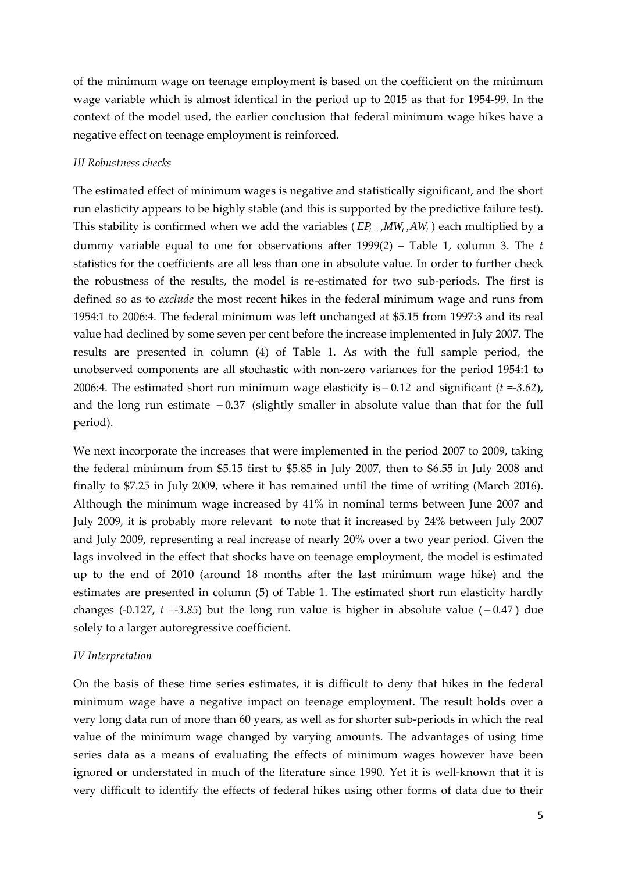of the minimum wage on teenage employment is based on the coefficient on the minimum wage variable which is almost identical in the period up to 2015 as that for 1954‐99. In the context of the model used, the earlier conclusion that federal minimum wage hikes have a negative effect on teenage employment is reinforced.

#### *III Robustness checks*

The estimated effect of minimum wages is negative and statistically significant, and the short run elasticity appears to be highly stable (and this is supported by the predictive failure test). This stability is confirmed when we add the variables ( $E P_{t-1}$ ,  $MW_t$ ,  $AW_t$ ) each multiplied by a dummy variable equal to one for observations after 1999(2) – Table 1, column 3. The *t* statistics for the coefficients are all less than one in absolute value. In order to further check the robustness of the results, the model is re‐estimated for two sub‐periods. The first is defined so as to *exclude* the most recent hikes in the federal minimum wage and runs from 1954:1 to 2006:4. The federal minimum was left unchanged at \$5.15 from 1997:3 and its real value had declined by some seven per cent before the increase implemented in July 2007. The results are presented in column (4) of Table 1. As with the full sample period, the unobserved components are all stochastic with non‐zero variances for the period 1954:1 to 2006:4. The estimated short run minimum wage elasticity is  $-0.12$  and significant ( $t = -3.62$ ), and the long run estimate  $-0.37$  (slightly smaller in absolute value than that for the full period).

We next incorporate the increases that were implemented in the period 2007 to 2009, taking the federal minimum from \$5.15 first to \$5.85 in July 2007, then to \$6.55 in July 2008 and finally to \$7.25 in July 2009, where it has remained until the time of writing (March 2016). Although the minimum wage increased by 41% in nominal terms between June 2007 and July 2009, it is probably more relevant to note that it increased by 24% between July 2007 and July 2009, representing a real increase of nearly 20% over a two year period. Given the lags involved in the effect that shocks have on teenage employment, the model is estimated up to the end of 2010 (around 18 months after the last minimum wage hike) and the estimates are presented in column (5) of Table 1. The estimated short run elasticity hardly changes (-0.127,  $t = -3.85$ ) but the long run value is higher in absolute value ( $-0.47$ ) due solely to a larger autoregressive coefficient.

#### *IV Interpretation*

On the basis of these time series estimates, it is difficult to deny that hikes in the federal minimum wage have a negative impact on teenage employment. The result holds over a very long data run of more than 60 years, as well as for shorter sub-periods in which the real value of the minimum wage changed by varying amounts. The advantages of using time series data as a means of evaluating the effects of minimum wages however have been ignored or understated in much of the literature since 1990. Yet it is well-known that it is very difficult to identify the effects of federal hikes using other forms of data due to their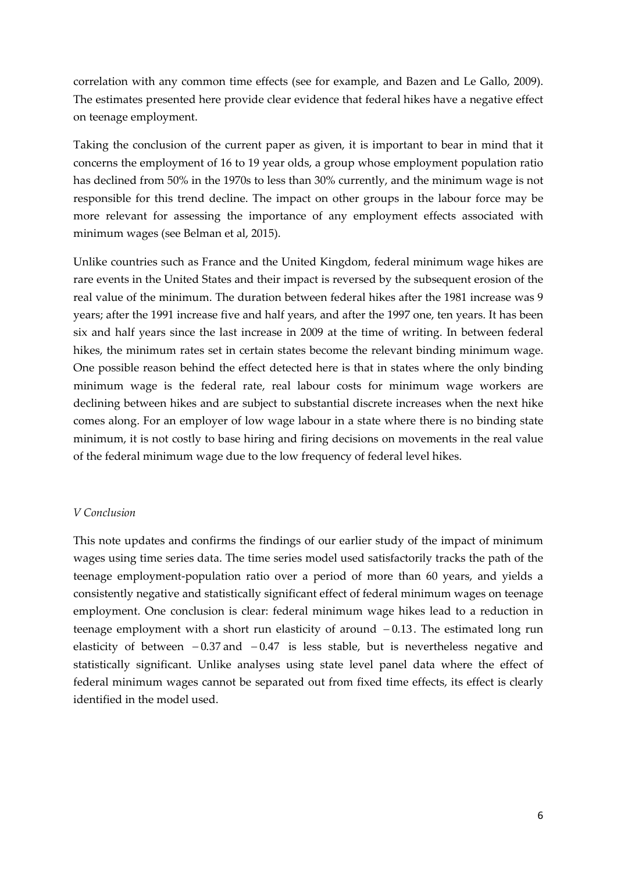correlation with any common time effects (see for example, and Bazen and Le Gallo, 2009). The estimates presented here provide clear evidence that federal hikes have a negative effect on teenage employment.

Taking the conclusion of the current paper as given, it is important to bear in mind that it concerns the employment of 16 to 19 year olds, a group whose employment population ratio has declined from 50% in the 1970s to less than 30% currently, and the minimum wage is not responsible for this trend decline. The impact on other groups in the labour force may be more relevant for assessing the importance of any employment effects associated with minimum wages (see Belman et al, 2015).

Unlike countries such as France and the United Kingdom, federal minimum wage hikes are rare events in the United States and their impact is reversed by the subsequent erosion of the real value of the minimum. The duration between federal hikes after the 1981 increase was 9 years; after the 1991 increase five and half years, and after the 1997 one, ten years. It has been six and half years since the last increase in 2009 at the time of writing. In between federal hikes, the minimum rates set in certain states become the relevant binding minimum wage. One possible reason behind the effect detected here is that in states where the only binding minimum wage is the federal rate, real labour costs for minimum wage workers are declining between hikes and are subject to substantial discrete increases when the next hike comes along. For an employer of low wage labour in a state where there is no binding state minimum, it is not costly to base hiring and firing decisions on movements in the real value of the federal minimum wage due to the low frequency of federal level hikes.

#### *V Conclusion*

This note updates and confirms the findings of our earlier study of the impact of minimum wages using time series data. The time series model used satisfactorily tracks the path of the teenage employment‐population ratio over a period of more than 60 years, and yields a consistently negative and statistically significant effect of federal minimum wages on teenage employment. One conclusion is clear: federal minimum wage hikes lead to a reduction in teenage employment with a short run elasticity of around  $-0.13$ . The estimated long run elasticity of between  $-0.37$  and  $-0.47$  is less stable, but is nevertheless negative and statistically significant. Unlike analyses using state level panel data where the effect of federal minimum wages cannot be separated out from fixed time effects, its effect is clearly identified in the model used.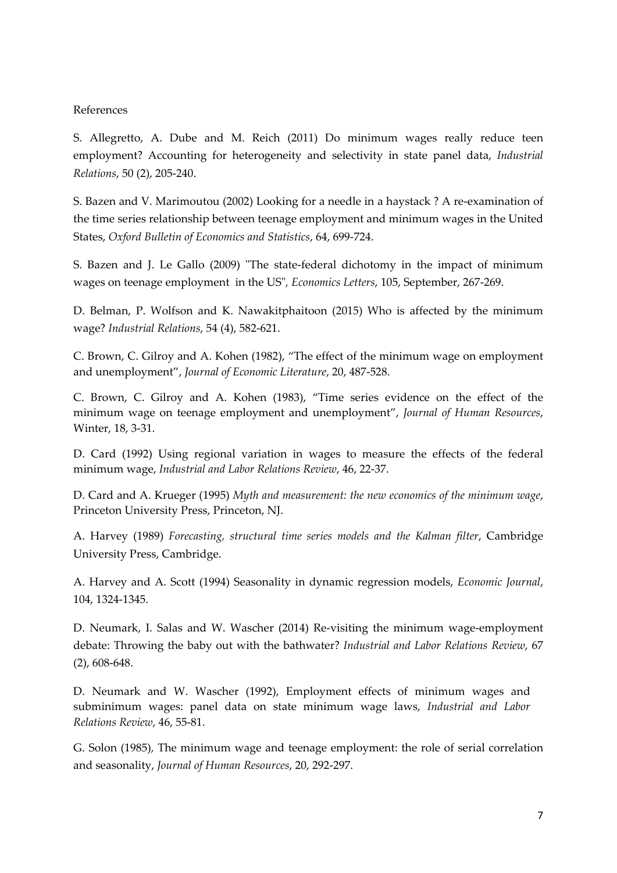#### References

S. Allegretto, A. Dube and M. Reich (2011) Do minimum wages really reduce teen employment? Accounting for heterogeneity and selectivity in state panel data, *Industrial Relations*, 50 (2), 205‐240.

S. Bazen and V. Marimoutou (2002) Looking for a needle in a haystack ? A re‐examination of the time series relationship between teenage employment and minimum wages in the United States, *Oxford Bulletin of Economics and Statistics*, 64, 699‐724.

S. Bazen and J. Le Gallo (2009) "The state-federal dichotomy in the impact of minimum wages on teenage employment in the USʺ*, Economics Letters*, 105, September, 267‐269.

D. Belman, P. Wolfson and K. Nawakitphaitoon (2015) Who is affected by the minimum wage? *Industrial Relations*, 54 (4), 582‐621.

C. Brown, C. Gilroy and A. Kohen (1982), "The effect of the minimum wage on employment and unemployment", *Journal of Economic Literature*, 20, 487‐528.

C. Brown, C. Gilroy and A. Kohen (1983), "Time series evidence on the effect of the minimum wage on teenage employment and unemployment", *Journal of Human Resources*, Winter, 18, 3‐31.

D. Card (1992) Using regional variation in wages to measure the effects of the federal minimum wage, *Industrial and Labor Relations Review*, 46, 22‐37.

D. Card and A. Krueger (1995) *Myth and measurement: the new economics of the minimum wage*, Princeton University Press, Princeton, NJ.

A. Harvey (1989) *Forecasting, structural time series models and the Kalman filter*, Cambridge University Press, Cambridge.

A. Harvey and A. Scott (1994) Seasonality in dynamic regression models, *Economic Journal*, 104, 1324‐1345.

D. Neumark, I. Salas and W. Wascher (2014) Re-visiting the minimum wage-employment debate: Throwing the baby out with the bathwater? *Industrial and Labor Relations Review*, 67 (2), 608‐648.

D. Neumark and W. Wascher (1992), Employment effects of minimum wages and subminimum wages: panel data on state minimum wage laws, *Industrial and Labor Relations Review*, 46, 55‐81.

G. Solon (1985), The minimum wage and teenage employment: the role of serial correlation and seasonality, *Journal of Human Resources*, 20, 292‐297.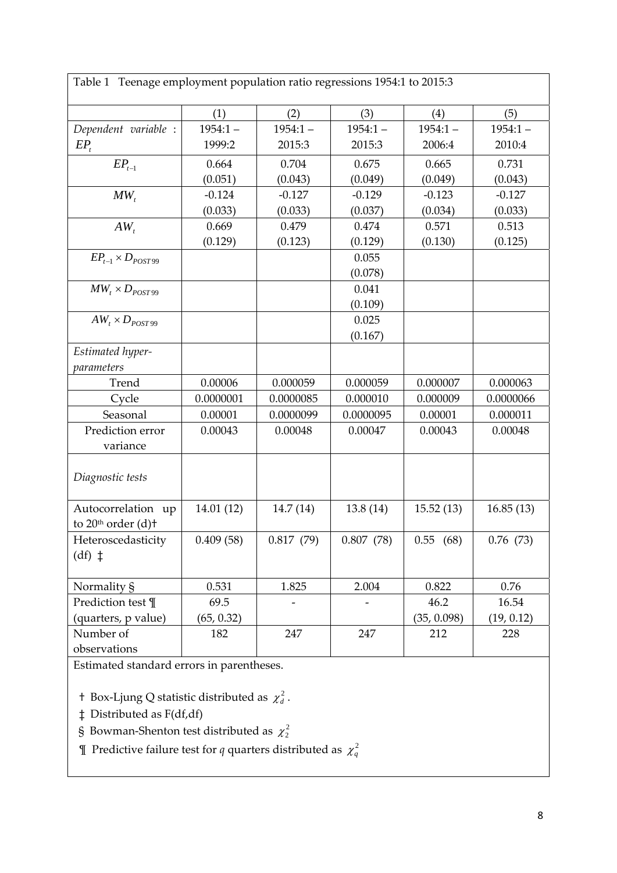Table 1 Teenage employment population ratio regressions 1954:1 to 2015:3

|                                                      | (1)        | (2)        | (3)        | (4)          | (5)        |
|------------------------------------------------------|------------|------------|------------|--------------|------------|
| Dependent variable :                                 | $1954:1 -$ | $1954:1 -$ | $1954:1 -$ | $1954:1 -$   | $1954:1 -$ |
| $EP_t$                                               | 1999:2     | 2015:3     | 2015:3     | 2006:4       | 2010:4     |
| $EP_{t-1}$                                           | 0.664      | 0.704      | 0.675      | 0.665        | 0.731      |
|                                                      | (0.051)    | (0.043)    | (0.049)    | (0.049)      | (0.043)    |
| $MW_{t}$                                             | $-0.124$   | $-0.127$   | $-0.129$   | $-0.123$     | $-0.127$   |
|                                                      | (0.033)    | (0.033)    | (0.037)    | (0.034)      | (0.033)    |
| $AW_t$                                               | 0.669      | 0.479      | 0.474      | 0.571        | 0.513      |
|                                                      | (0.129)    | (0.123)    | (0.129)    | (0.130)      | (0.125)    |
| $EP_{t-1} \times D_{POST99}$                         |            |            | 0.055      |              |            |
|                                                      |            |            | (0.078)    |              |            |
| $MW_t \times D_{POST99}$                             |            |            | 0.041      |              |            |
|                                                      |            |            | (0.109)    |              |            |
| $AW_t \times D_{POST99}$                             |            |            | 0.025      |              |            |
|                                                      |            |            | (0.167)    |              |            |
| Estimated hyper-                                     |            |            |            |              |            |
| parameters                                           |            |            |            |              |            |
| Trend                                                | 0.00006    | 0.000059   | 0.000059   | 0.000007     | 0.000063   |
| Cycle                                                | 0.0000001  | 0.0000085  | 0.000010   | 0.000009     | 0.0000066  |
| Seasonal                                             | 0.00001    | 0.0000099  | 0.0000095  | 0.00001      | 0.000011   |
| Prediction error                                     | 0.00043    | 0.00048    | 0.00047    | 0.00043      | 0.00048    |
| variance                                             |            |            |            |              |            |
| Diagnostic tests                                     |            |            |            |              |            |
|                                                      |            |            |            |              |            |
| Autocorrelation up<br>to 20 <sup>th</sup> order (d)+ | 14.01 (12) | 14.7 (14)  | 13.8 (14)  | 15.52(13)    | 16.85(13)  |
| Heteroscedasticity<br>$(df)$ $\ddagger$              | 0.409(58)  | 0.817(79)  | 0.807(78)  | 0.55<br>(68) | 0.76(73)   |
| Normality §                                          | 0.531      | 1.825      | 2.004      | 0.822        | 0.76       |
| Prediction test ¶                                    | 69.5       |            |            | 46.2         | 16.54      |
| (quarters, p value)                                  | (65, 0.32) |            |            | (35, 0.098)  | (19, 0.12) |
| Number of                                            | 182        | 247        | 247        | 212          | 228        |
| observations                                         |            |            |            |              |            |

Estimated standard errors in parentheses.

† Box-Ljung Q statistic distributed as  $\chi_d^2$ .

- ‡ Distributed as F(df,df)
- § Bowman-Shenton test distributed as  $\chi^2$
- **T** Predictive failure test for *q* quarters distributed as  $\chi_q^2$